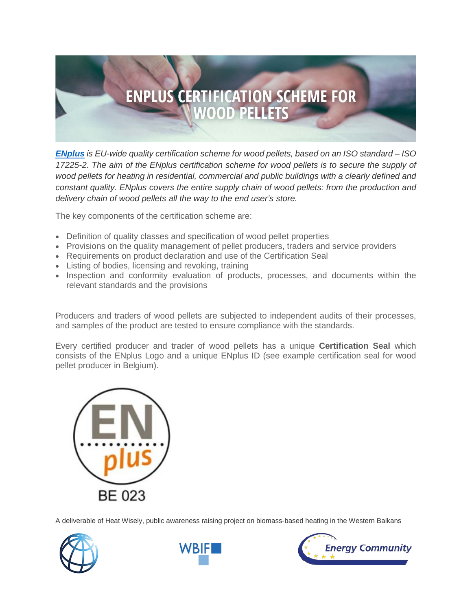

*[ENplus](http://www.enplus-pellets.eu/) is EU-wide quality certification scheme for wood pellets, based on an ISO standard – ISO 17225-2. The aim of the ENplus certification scheme for wood pellets is to secure the supply of*  wood pellets for heating in residential, commercial and public buildings with a clearly defined and *constant quality. ENplus covers the entire supply chain of wood pellets: from the production and delivery chain of wood pellets all the way to the end user's store.*

The key components of the certification scheme are:

- Definition of quality classes and specification of wood pellet properties
- Provisions on the quality management of pellet producers, traders and service providers
- Requirements on product declaration and use of the Certification Seal
- Listing of bodies, licensing and revoking, training
- Inspection and conformity evaluation of products, processes, and documents within the relevant standards and the provisions

Producers and traders of wood pellets are subjected to independent audits of their processes, and samples of the product are tested to ensure compliance with the standards.

Every certified producer and trader of wood pellets has a unique **Certification Seal** which consists of the ENplus Logo and a unique ENplus ID (see example certification seal for wood pellet producer in Belgium).



A deliverable of Heat Wisely, public awareness raising project on biomass-based heating in the Western Balkans